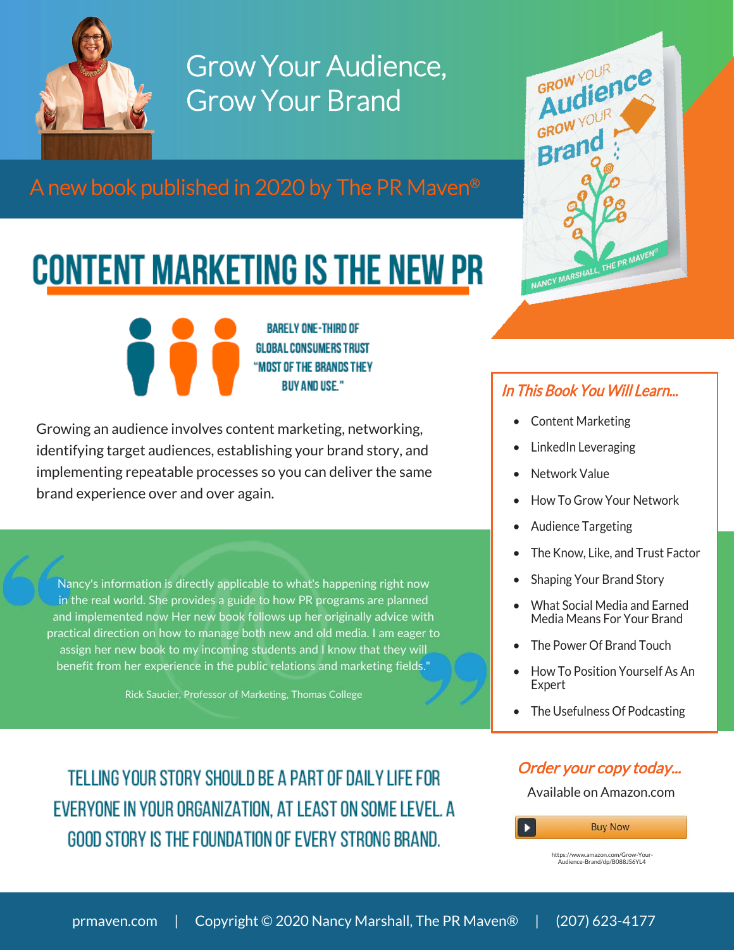

Grow Your Audience, Grow Your Brand

A new book published in 2020 by The PR Maven®

## **CONTENT MARKETING IS THE NEW PR**

**BARELY ONE-THIRD OF GLOBAL CONSUMERS TRUST** "MOST OF THE BRANDS THEY **BUY AND USE."** 

Growing an audience involves content marketing, networking, identifying target audiences, establishing your brand story, and implementing repeatable processes so you can deliver the same brand experience over and over again.

Nancy's information is directly applicable to what's happening right now in the real world. She provides a guide to how PR programs are planned and implemented now Her new book follows up her originally advice with practical direction on how to manage both new and old media. I am eager to assign her new book to my incoming students and I know that they will benefit from her experience in the public relations and marketing fields."

Rick Saucier, Professor of Marketing, Thomas College

TELLING YOUR STORY SHOULD BE A PART OF DAILY LIFE FOR EVERYONE IN YOUR ORGANIZATION, AT LEAST ON SOME LEVEL. A GOOD STORY IS THE FOUNDATION OF EVERY STRONG BRAND.



## In This Book You Will Learn...

- Content Marketing
- LinkedIn Leveraging
- **Network Value**
- How To Grow Your Network
- Audience Targeting
- The Know, Like, and Trust Factor
- Shaping Your Brand Story
- What Social Media and Earned Media Means For Your Brand
- The Power Of Brand Touch
- How To Position Yourself As An Expert
- The Usefulness Of Podcasting

## [Order your copy today...](https://www.amazon.com/Grow-Your-Audience-Brand/dp/B088JS6YL4)

Available on Amazon.com